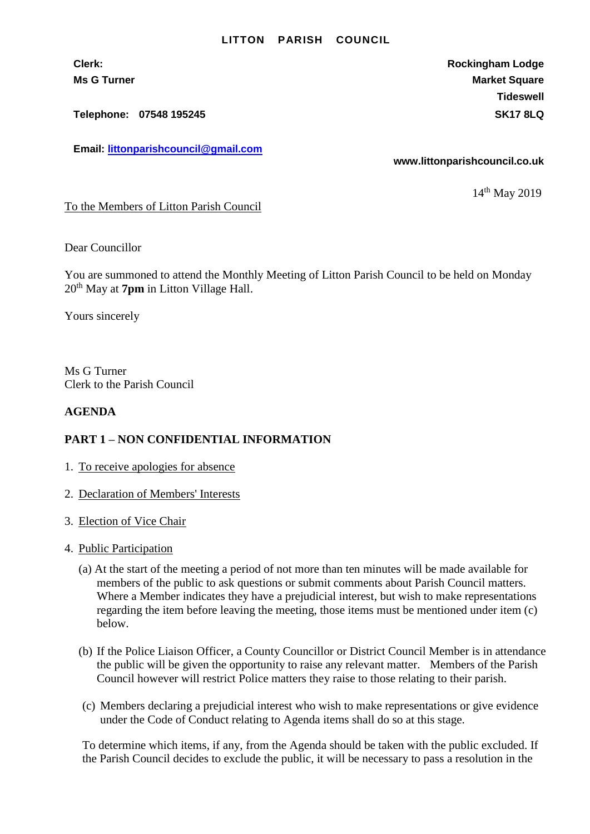## **LITTON PARISH COUNCIL**

**Telephone: 07548 195245 SK17 8LQ**

**Email: [littonparishcouncil@gmail.com](mailto:littonparishcouncil@gmail.com)**

**Clerk: Rockingham Lodge Ms G Turner Market Square** Market Square Market Square **Tideswell**

**www.littonparishcouncil.co.uk**

14<sup>th</sup> May 2019

To the Members of Litton Parish Council

Dear Councillor

You are summoned to attend the Monthly Meeting of Litton Parish Council to be held on Monday 20th May at **7pm** in Litton Village Hall.

Yours sincerely

Ms G Turner Clerk to the Parish Council

## **AGENDA**

## **PART 1 – NON CONFIDENTIAL INFORMATION**

- 1. To receive apologies for absence
- 2. Declaration of Members' Interests
- 3. Election of Vice Chair
- 4. Public Participation
	- (a) At the start of the meeting a period of not more than ten minutes will be made available for members of the public to ask questions or submit comments about Parish Council matters. Where a Member indicates they have a prejudicial interest, but wish to make representations regarding the item before leaving the meeting, those items must be mentioned under item (c) below.
	- (b) If the Police Liaison Officer, a County Councillor or District Council Member is in attendance the public will be given the opportunity to raise any relevant matter. Members of the Parish Council however will restrict Police matters they raise to those relating to their parish.
	- (c) Members declaring a prejudicial interest who wish to make representations or give evidence under the Code of Conduct relating to Agenda items shall do so at this stage.

To determine which items, if any, from the Agenda should be taken with the public excluded. If the Parish Council decides to exclude the public, it will be necessary to pass a resolution in the